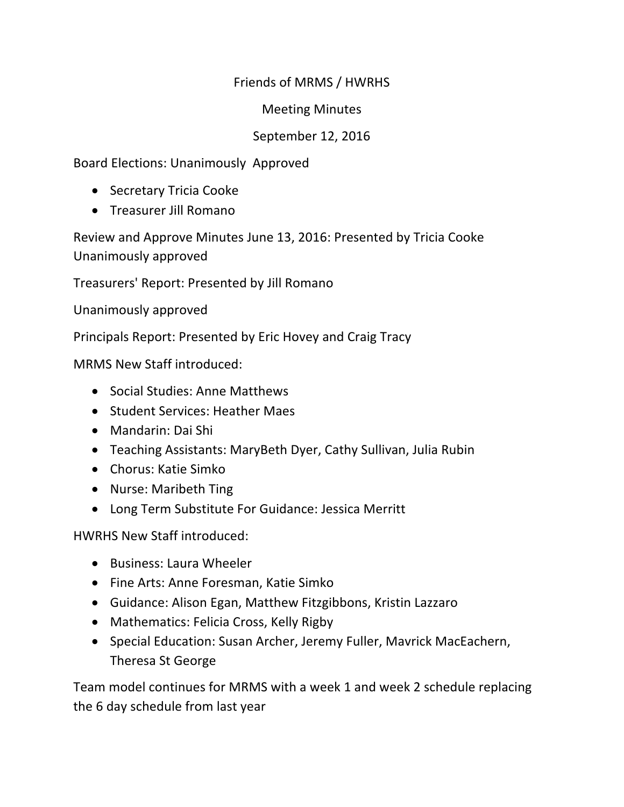## Friends of MRMS / HWRHS

Meeting Minutes 

## September 12, 2016

Board Elections: Unanimously Approved

- Secretary Tricia Cooke
- Treasurer Jill Romano

Review and Approve Minutes June 13, 2016: Presented by Tricia Cooke Unanimously approved

Treasurers' Report: Presented by Jill Romano

Unanimously approved

Principals Report: Presented by Eric Hovey and Craig Tracy

MRMS New Staff introduced:

- Social Studies: Anne Matthews
- Student Services: Heather Maes
- Mandarin: Dai Shi
- Teaching Assistants: MaryBeth Dyer, Cathy Sullivan, Julia Rubin
- Chorus: Katie Simko
- Nurse: Maribeth Ting
- Long Term Substitute For Guidance: Jessica Merritt

HWRHS New Staff introduced:

- Business: Laura Wheeler
- Fine Arts: Anne Foresman, Katie Simko
- Guidance: Alison Egan, Matthew Fitzgibbons, Kristin Lazzaro
- Mathematics: Felicia Cross, Kelly Rigby
- Special Education: Susan Archer, Jeremy Fuller, Mavrick MacEachern, Theresa St George

Team model continues for MRMS with a week 1 and week 2 schedule replacing the 6 day schedule from last year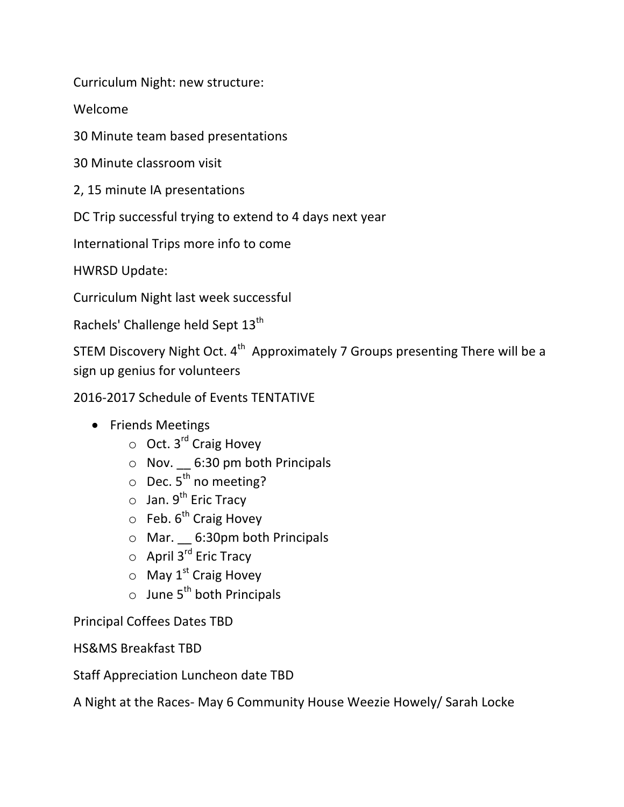Curriculum Night: new structure:

Welcome 

30 Minute team based presentations

30 Minute classroom visit

2, 15 minute IA presentations

DC Trip successful trying to extend to 4 days next year

International Trips more info to come

HWRSD Update:

Curriculum Night last week successful

Rachels' Challenge held Sept 13<sup>th</sup>

STEM Discovery Night Oct.  $4^{th}$  Approximately 7 Groups presenting There will be a sign up genius for volunteers

2016-2017 Schedule of Events TENTATIVE

- Friends Meetings
	- $\circ$  Oct. 3<sup>rd</sup> Craig Hovey
	- $\circ$  Nov.  $\angle$  6:30 pm both Principals
	- $\circ$  Dec. 5<sup>th</sup> no meeting?
	- $\circ$  Jan. 9<sup>th</sup> Eric Tracy
	- $\circ$  Feb.  $6^{th}$  Craig Hovey
	- $\circ$  Mar.  $\circ$  6:30pm both Principals
	- $\circ$  April  $3^{rd}$  Eric Tracy
	- $\circ$  May 1<sup>st</sup> Craig Hovey
	- $\circ$  June 5<sup>th</sup> both Principals

Principal Coffees Dates TBD

HS&MS Breakfast TBD

Staff Appreciation Luncheon date TBD

A Night at the Races- May 6 Community House Weezie Howely/ Sarah Locke